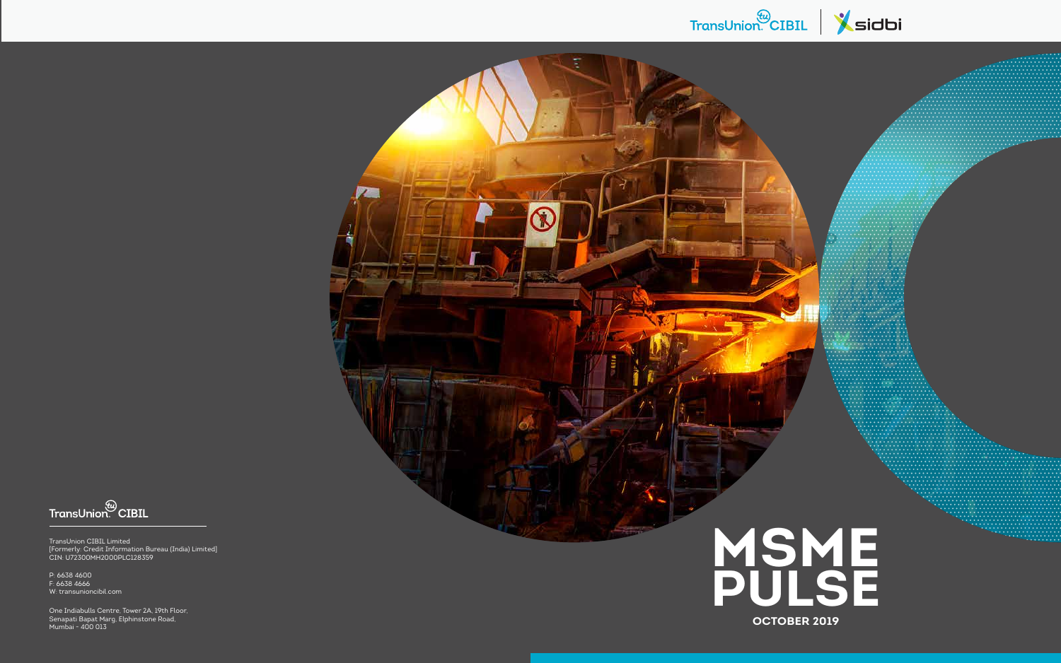# TransUnion CIBIL Sidbi



FransUnion CIBIL

TransUnion CIBIL Limited [Formerly: Credit Information Bureau (India) Limited] CIN: U72300MH2000PLC128359

One Indiabulls Centre, Tower 2A, 19th Floor, Senapati Bapat Marg, Elphinstone Road, Mumbai - 400 013



P: 6638 4600 F: 6638 4666 W: transunioncibil.com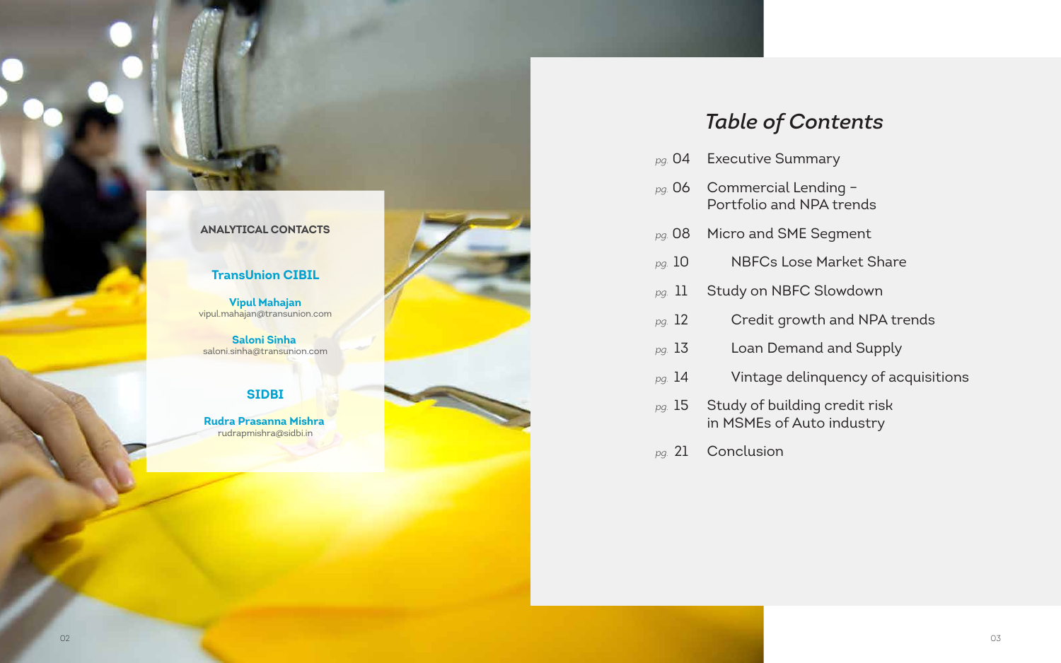# *Table of Contents*

- *pg.* 04 Executive Summary
- *pg.* 06 Commercial Lending Portfolio and NPA trends
- *pg.* 08 Micro and SME Segment
- *pg.* 10NBFCs Lose Market Share
- *pg.* 11 Study on NBFC Slowdown
- *pg.* 12 **Credit growth and NPA trends**
- *pg.* 13Loan Demand and Supply
- *pg.* 14Vintage delinquency of acquisitions
- *pg.* 15 Study of building credit risk in MSMEs of Auto industry
- *pg.* 21 Conclusion

## **ANALYTICAL CONTACTS**

## **TransUnion CIBIL**

**Vipul Mahajan** vipul.mahajan@transunion.com

**Saloni Sinha**  saloni.sinha@transunion.com

# **SIDBI**

**Rudra Prasanna Mishra**  rudrapmishra@sidbi.in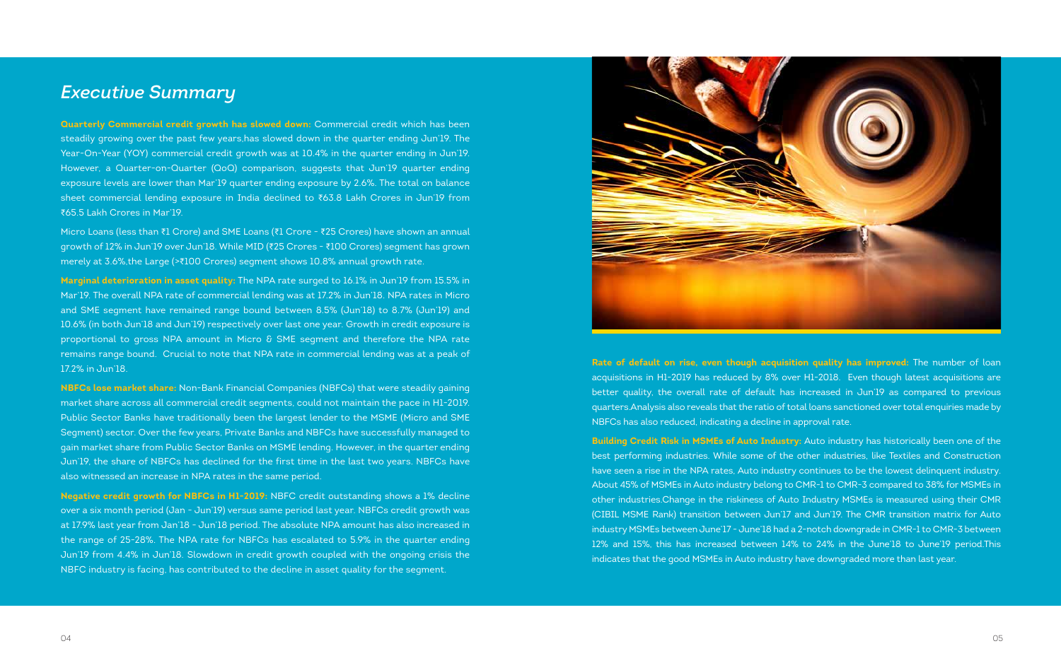**Quarterly Commercial credit growth has slowed down:** Commercial credit which has been steadily growing over the past few years,has slowed down in the quarter ending Jun'19. The Year-On-Year (YOY) commercial credit growth was at 10.4% in the quarter ending in Jun'19. However, a Quarter-on-Quarter (QoQ) comparison, suggests that Jun'19 quarter ending exposure levels are lower than Mar'19 quarter ending exposure by 2.6%. The total on balance sheet commercial lending exposure in India declined to ₹63.8 Lakh Crores in Jun'19 from ₹65.5 Lakh Crores in Mar'19.

Micro Loans (less than ₹1 Crore) and SME Loans (₹1 Crore - ₹25 Crores) have shown an annual growth of 12% in Jun'19 over Jun'18. While MID (₹25 Crores - ₹100 Crores) segment has grown merely at 3.6%,the Large (>₹100 Crores) segment shows 10.8% annual growth rate.

**Marginal deterioration in asset quality:** The NPA rate surged to 16.1% in Jun'19 from 15.5% in Mar'19. The overall NPA rate of commercial lending was at 17.2% in Jun'18. NPA rates in Micro and SME segment have remained range bound between 8.5% (Jun'18) to 8.7% (Jun'19) and 10.6% (in both Jun'18 and Jun'19) respectively over last one year. Growth in credit exposure is proportional to gross NPA amount in Micro  $\delta$  SME segment and therefore the NPA rate remains range bound. Crucial to note that NPA rate in commercial lending was at a peak of 17.2% in Jun'18.

**NBFCs lose market share:** Non-Bank Financial Companies (NBFCs) that were steadily gaining market share across all commercial credit segments, could not maintain the pace in H1-2019. Public Sector Banks have traditionally been the largest lender to the MSME (Micro and SME Segment) sector. Over the few years, Private Banks and NBFCs have successfully managed to gain market share from Public Sector Banks on MSME lending. However, in the quarter ending Jun'19, the share of NBFCs has declined for the first time in the last two years. NBFCs have also witnessed an increase in NPA rates in the same period.

**Negative credit growth for NBFCs in H1-2019:** NBFC credit outstanding shows a 1% decline over a six month period (Jan - Jun'19) versus same period last year. NBFCs credit growth was at 17.9% last year from Jan'18 - Jun'18 period. The absolute NPA amount has also increased in the range of 25-28%. The NPA rate for NBFCs has escalated to 5.9% in the quarter ending Jun'19 from 4.4% in Jun'18. Slowdown in credit growth coupled with the ongoing crisis the NBFC industry is facing, has contributed to the decline in asset quality for the segment.



**Rate of default on rise, even though acquisition quality has improved:** The number of loan acquisitions in H1-2019 has reduced by 8% over H1-2018. Even though latest acquisitions are better quality, the overall rate of default has increased in Jun'19 as compared to previous quarters.Analysis also reveals that the ratio of total loans sanctioned over total enquiries made by NBFCs has also reduced, indicating a decline in approval rate.

**Building Credit Risk in MSMEs of Auto Industry:** Auto industry has historically been one of the best performing industries. While some of the other industries, like Textiles and Construction have seen a rise in the NPA rates, Auto industry continues to be the lowest delinquent industry. About 45% of MSMEs in Auto industry belong to CMR-1 to CMR-3 compared to 38% for MSMEs in other industries.Change in the riskiness of Auto Industry MSMEs is measured using their CMR (CIBIL MSME Rank) transition between Jun'17 and Jun'19. The CMR transition matrix for Auto industry MSMEs between June'17 - June'18 had a 2-notch downgrade in CMR-1 to CMR-3 between 12% and 15%, this has increased between 14% to 24% in the June'18 to June'19 period.This indicates that the good MSMEs in Auto industry have downgraded more than last year.

# *Executive Summary*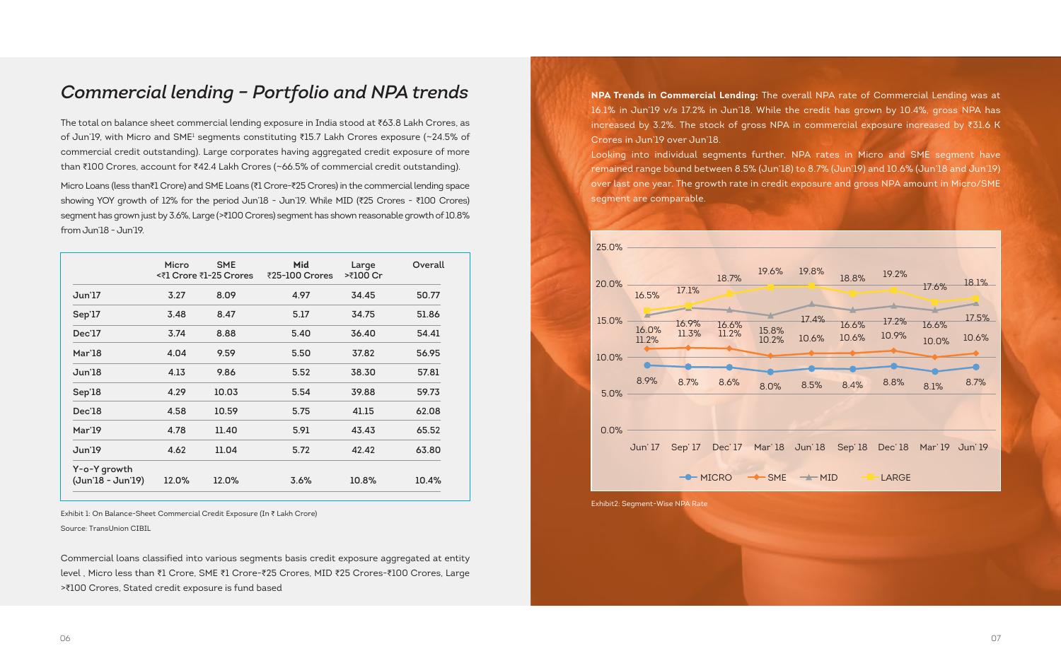|                                   | Micro | <b>SME</b><br><₹1 Crore ₹1-25 Crores | Mid<br>₹25-100 Crores | Large<br>>₹100 Cr | Overall |
|-----------------------------------|-------|--------------------------------------|-----------------------|-------------------|---------|
| Jun'17                            | 3.27  | 8.09                                 | 4.97                  | 34.45             | 50.77   |
| Sep'17                            | 3.48  | 8.47                                 | 5.17                  | 34.75             | 51.86   |
| Dec'17                            | 3.74  | 8.88                                 | 5.40                  | 36.40             | 54.41   |
| Mar'18                            | 4.04  | 9.59                                 | 5.50                  | 37.82             | 56.95   |
| Jun'18                            | 4.13  | 9.86                                 | 5.52                  | 38.30             | 57.81   |
| Sep'18                            | 4.29  | 10.03                                | 5.54                  | 39.88             | 59.73   |
| Dec'18                            | 4.58  | 10.59                                | 5.75                  | 41.15             | 62.08   |
| Mar'19                            | 4.78  | 11.40                                | 5.91                  | 43.43             | 65.52   |
| Jun'19                            | 4.62  | 11.04                                | 5.72                  | 42.42             | 63.80   |
| Y-o-Y growth<br>(Jun'18 - Jun'19) | 12.0% | 12.0%                                | 3.6%                  | 10.8%             | 10.4%   |

The total on balance sheet commercial lending exposure in India stood at ₹63.8 Lakh Crores, as of Jun'19, with Micro and SME<sup>1</sup> segments constituting ₹15.7 Lakh Crores exposure (~24.5% of commercial credit outstanding). Large corporates having aggregated credit exposure of more than ₹100 Crores, account for ₹42.4 Lakh Crores (~66.5% of commercial credit outstanding).

Micro Loans (less than₹1 Crore) and SME Loans (₹1 Crore-₹25 Crores) in the commercial lending space showing YOY growth of 12% for the period Jun'18 - Jun'19. While MID (₹25 Crores - ₹100 Crores) segment has grown just by 3.6%, Large (>₹100 Crores) segment has shown reasonable growth of 10.8% from Jun'18 - Jun'19.

Commercial loans classified into various segments basis credit exposure aggregated at entity level , Micro less than ₹1 Crore, SME ₹1 Crore-₹25 Crores, MID ₹25 Crores-₹100 Crores, Large >₹100 Crores, Stated credit exposure is fund based

**NPA Trends in Commercial Lending:** The overall NPA rate of Commercial Lending was at 16.1% in Jun'19 v/s 17.2% in Jun'18. While the credit has grown by 10.4%, gross NPA has increased by 3.2%. The stock of gross NPA in commercial exposure increased by ₹31.6 K Crores in Jun'19 over Jun'18.

Looking into individual segments further, NPA rates in Micro and SME segment have remained range bound between 8.5% (Jun'18) to 8.7% (Jun'19) and 10.6% (Jun'18 and Jun'19) over last one year. The growth rate in credit exposure and gross NPA amount in Micro/SME segment are comparable.

# *Commercial lending – Portfolio and NPA trends*

Exhibit 1: On Balance-Sheet Commercial Credit Exposure (In ₹ Lakh Crore)

Source: TransUnion CIBIL



Exhibit2: Segment-Wise NPA Rate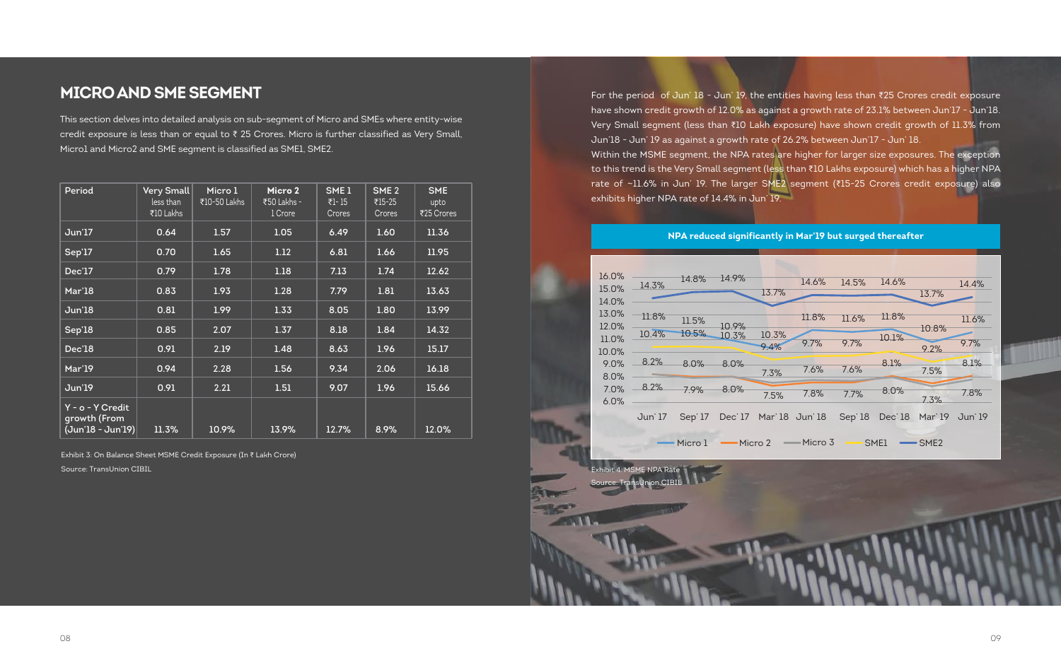# **MICRO AND SME SEGMENT**

This section delves into detailed analysis on sub-segment of Micro and SMEs where entity-wise credit exposure is less than or equal to ₹ 25 Crores. Micro is further classified as Very Small, Micro1 and Micro2 and SME segment is classified as SME1, SME2.

Source: TransUnion CIBIL

| Period                                                  | Very Small<br>less than<br>₹10 Lakhs | Micro 1<br>₹10-50 Lakhs | Micro 2<br>₹50 Lakhs -<br>1 Crore | SME <sub>1</sub><br>₹1 - 15<br>Crores | SME <sub>2</sub><br>₹15-25<br>Crores | <b>SME</b><br>upto<br>₹25 Crores |
|---------------------------------------------------------|--------------------------------------|-------------------------|-----------------------------------|---------------------------------------|--------------------------------------|----------------------------------|
| Jun'17                                                  | 0.64                                 | 1.57                    | 1.05                              | 6.49                                  | 1.60                                 | 11.36                            |
| Sep'17                                                  | 0.70                                 | 1.65                    | 1.12                              | 6.81                                  | 1.66                                 | 11.95                            |
| Dec'17                                                  | 0.79                                 | 1.78                    | 1.18                              | 7.13                                  | 1.74                                 | 12.62                            |
| Mar'18                                                  | 0.83                                 | 1.93                    | 1.28                              | 7.79                                  | 1.81                                 | 13.63                            |
| <b>Jun'18</b>                                           | 0.81                                 | 1.99                    | 1.33                              | 8.05                                  | 1.80                                 | 13.99                            |
| Sep'18                                                  | 0.85                                 | 2.07                    | 1.37                              | 8.18                                  | 1.84                                 | 14.32                            |
| Dec'18                                                  | 0.91                                 | 2.19                    | 1.48                              | 8.63                                  | 1.96                                 | 15.17                            |
| Mar'19                                                  | 0.94                                 | 2.28                    | 1.56                              | 9.34                                  | 2.06                                 | 16.18                            |
| Jun'19                                                  | 0.91                                 | 2.21                    | 1.51                              | 9.07                                  | 1.96                                 | 15.66                            |
| Y - o - Y Credit<br>growth (From<br>$(Jun'18 - Jun'19)$ | 11.3%                                | 10.9%                   | 13.9%                             | 12.7%                                 | 8.9%                                 | 12.0%                            |

Exhibit 3: On Balance Sheet MSME Credit Exposure (In ₹ Lakh Crore)

For the period of Jun' 18 - Jun' 19, the entities having less than ₹25 Crores credit exposure have shown credit growth of 12.0% as against a growth rate of 23.1% between Jun'17 - Jun'18. Very Small segment (less than ₹10 Lakh exposure) have shown credit growth of 11.3% from Jun'18 - Jun' 19 as against a growth rate of 26.2% between Jun'17 - Jun' 18. Within the MSME segment, the NPA rates are higher for larger size exposures. The exception to this trend is the Very Small segment (less than ₹10 Lakhs exposure) which has a higher NPA rate of ~11.6% in Jun' 19. The larger SME2 segment (₹15-25 Crores credit exposure) also exhibits higher NPA rate of 14.4% in Jun' 19.



# 14.6% 14.5% 14.6% 13.7% 14.4% 11.6% 10.8% 11.8% 11.6% 11.8% 9.4% 9.7% 9.7% 10.1% 9.2% 9.7% 8.1% 7.5% 8.1% 7.3% 7.8%

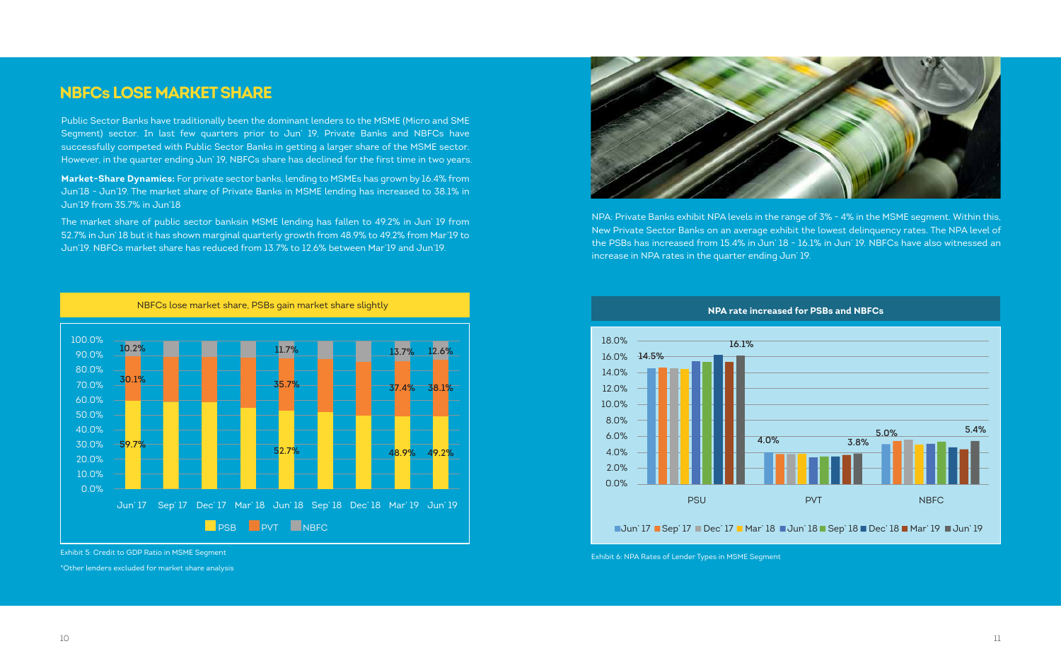# **NBFCs LOSE MARKET SHARE**

Public Sector Banks have traditionally been the dominant lenders to the MSME (Micro and SME Segment) sector. In last few quarters prior to Jun' 19, Private Banks and NBFCs have successfully competed with Public Sector Banks in getting a larger share of the MSME sector. However, in the quarter ending Jun' 19, NBFCs share has declined for the first time in two years.

**Market-Share Dynamics:** For private sector banks, lending to MSMEs has grown by 16.4% from Jun'18 - Jun'19. The market share of Private Banks in MSME lending has increased to 38.1% in Jun'19 from 35.7% in Jun'18

The market share of public sector banksin MSME lending has fallen to 49.2% in Jun' 19 from 52.7% in Jun' 18 but it has shown marginal quarterly growth from 48.9% to 49.2% from Mar'19 to Jun'19. NBFCs market share has reduced from 13.7% to 12.6% between Mar'19 and Jun'19.

Exhibit 6: NPA Rates of Lender Types in MSME Segment



Exhibit 5: Credit to GDP Ratio in MSME Segment

NBFCs lose market share, PSBs gain market share slightly





\*Other lenders excluded for market share analysis

NPA: Private Banks exhibit NPA levels in the range of 3% - 4% in the MSME segment. Within this, New Private Sector Banks on an average exhibit the lowest delinquency rates. The NPA level of the PSBs has increased from 15.4% in Jun' 18 - 16.1% in Jun' 19. NBFCs have also witnessed an increase in NPA rates in the quarter ending Jun' 19.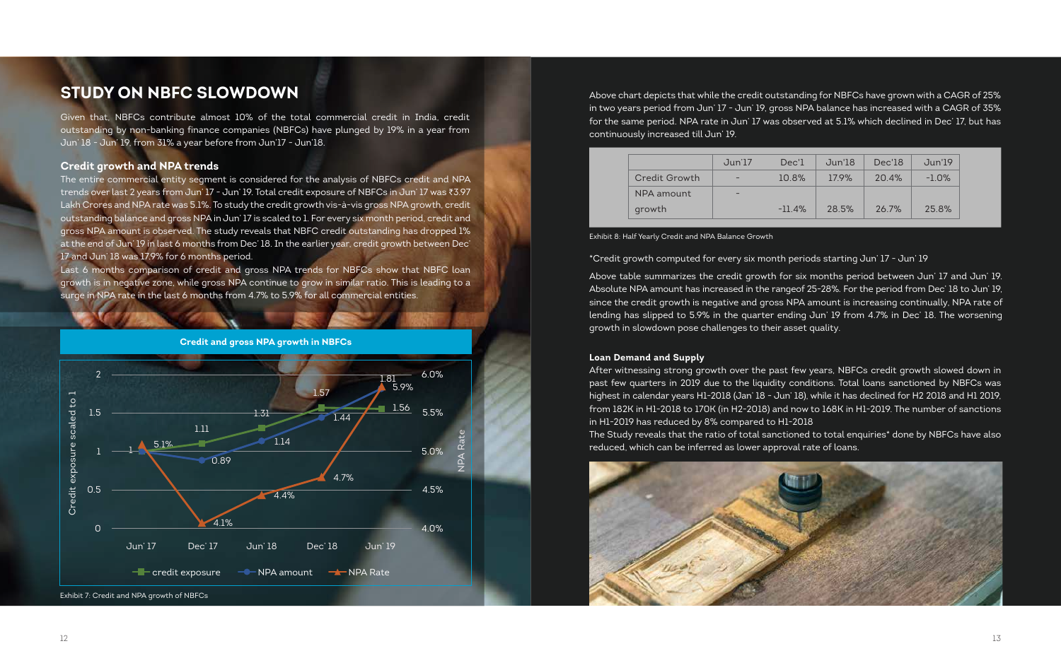## **Credit growth and NPA trends**

The entire commercial entity segment is considered for the analysis of NBFCs credit and NPA trends over last 2 years from Jun' 17 - Jun' 19. Total credit exposure of NBFCs in Jun' 17 was ₹3.97 Lakh Crores and NPA rate was 5.1%. To study the credit growth vis-à-vis gross NPA growth, credit outstanding balance and gross NPA in Jun' 17 is scaled to 1. For every six month period, credit and gross NPA amount is observed. The study reveals that NBFC credit outstanding has dropped 1% at the end of Jun' 19 in last 6 months from Dec' 18. In the earlier year, credit growth between Dec' 17 and Jun' 18 was 17.9% for 6 months period.

Last 6 months comparison of credit and gross NPA trends for NBFCs show that NBFC loan growth is in negative zone, while gross NPA continue to grow in similar ratio. This is leading to a surge in NPA rate in the last 6 months from 4.7% to 5.9% for all commercial entities.

\*Credit growth computed for every six month periods starting Jun' 17 - Jun' 19

Above table summarizes the credit growth for six months period between Jun' 17 and Jun' 19. Absolute NPA amount has increased in the rangeof 25-28%. For the period from Dec' 18 to Jun' 19, since the credit growth is negative and gross NPA amount is increasing continually, NPA rate of lending has slipped to 5.9% in the quarter ending Jun' 19 from 4.7% in Dec' 18. The worsening growth in slowdown pose challenges to their asset quality.



### Exhibit 8: Half Yearly Credit and NPA Balance Growth

|               | Jun'17                   | Dec'l     | Jun'18 | Dec'18 | Jun'19  |
|---------------|--------------------------|-----------|--------|--------|---------|
| Credit Growth | -                        | 10.8%     | 17.9%  | 20.4%  | $-1.0%$ |
| NPA amount    | $\overline{\phantom{0}}$ |           |        |        |         |
| growth        |                          | $-11.4\%$ | 28.5%  | 26.7%  | 25.8%   |

Above chart depicts that while the credit outstanding for NBFCs have grown with a CAGR of 25% in two years period from Jun' 17 - Jun' 19, gross NPA balance has increased with a CAGR of 35% for the same period. NPA rate in Jun' 17 was observed at 5.1% which declined in Dec' 17, but has continuously increased till Jun' 19.

## **Loan Demand and Supply**

After witnessing strong growth over the past few years, NBFCs credit growth slowed down in past few quarters in 2019 due to the liquidity conditions. Total loans sanctioned by NBFCs was highest in calendar years H1-2018 (Jan' 18 - Jun' 18), while it has declined for H2 2018 and H1 2019, from 182K in H1-2018 to 170K (in H2-2018) and now to 168K in H1-2019. The number of sanctions in H1-2019 has reduced by 8% compared to H1-2018 The Study reveals that the ratio of total sanctioned to total enquiries\* done by NBFCs have also reduced, which can be inferred as lower approval rate of loans.



# **STUDY ON NBFC SLOWDOWN**

Given that, NBFCs contribute almost 10% of the total commercial credit in India, credit outstanding by non-banking finance companies (NBFCs) have plunged by 19% in a year from Jun' 18 - Jun' 19, from 31% a year before from Jun'17 - Jun'18.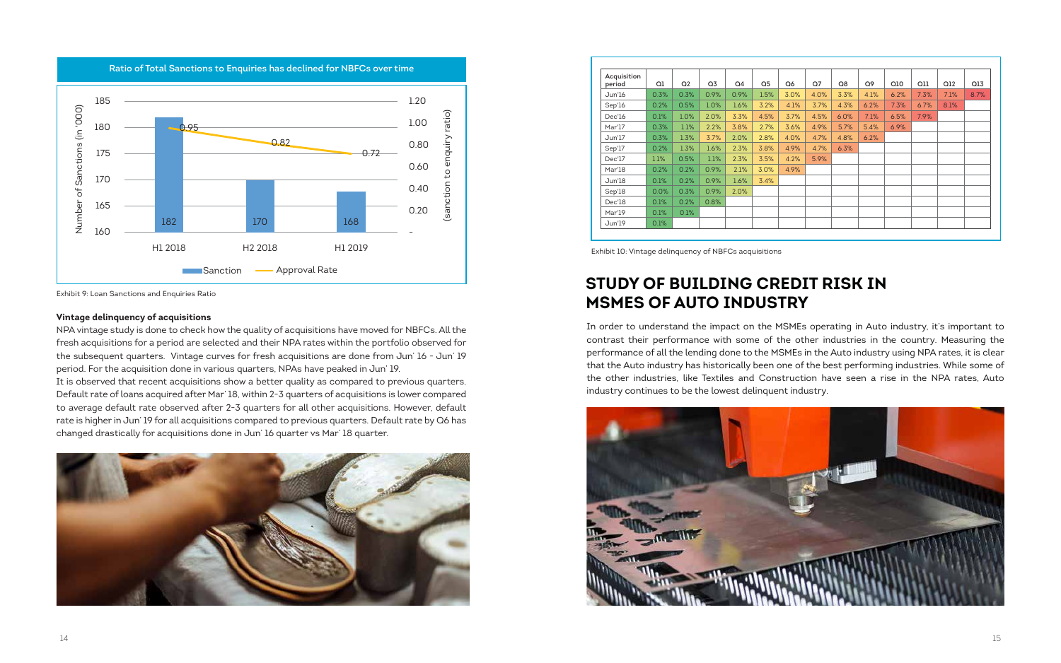| Acquisition<br>period | Q1   | Q <sub>2</sub> | Q <sub>3</sub> | Q4   | Q <sub>5</sub> | Q6   | Q <sub>7</sub> | Q8   | Q9   | Q10  | Q11  | Q12  | Q13  |
|-----------------------|------|----------------|----------------|------|----------------|------|----------------|------|------|------|------|------|------|
| Jun'16                | 0.3% | 0.3%           | 0.9%           | 0.9% | 1.5%           | 3.0% | 4.0%           | 3.3% | 4.1% | 6.2% | 7.3% | 7.1% | 8.7% |
| Sep'16                | 0.2% | 0.5%           | 1.0%           | 1.6% | 3.2%           | 4.1% | 3.7%           | 4.3% | 6.2% | 7.3% | 6.7% | 8.1% |      |
| Dec'16                | 0.1% | 1.0%           | 2.0%           | 3.3% | 4.5%           | 3.7% | 4.5%           | 6.0% | 7.1% | 6.5% | 7.9% |      |      |
| Mar'17                | 0.3% | 1.1%           | 2.2%           | 3.8% | 2.7%           | 3.6% | 4.9%           | 5.7% | 5.4% | 6.9% |      |      |      |
| Jun'17                | 0.3% | 1.3%           | 3.7%           | 2.0% | 2.8%           | 4.0% | 4.7%           | 4.8% | 6.2% |      |      |      |      |
| Sep'17                | 0.2% | 1.3%           | 1.6%           | 2.3% | 3.8%           | 4.9% | 4.7%           | 6.3% |      |      |      |      |      |
| Dec'17                | 1.1% | 0.5%           | 1.1%           | 2.3% | 3.5%           | 4.2% | 5.9%           |      |      |      |      |      |      |
| Mar'18                | 0.2% | 0.2%           | 0.9%           | 2.1% | 3.0%           | 4.9% |                |      |      |      |      |      |      |
| Jun'18                | 0.1% | 0.2%           | 0.9%           | 1.6% | 3.4%           |      |                |      |      |      |      |      |      |
| Sep'18                | 0.0% | 0.3%           | 0.9%           | 2.0% |                |      |                |      |      |      |      |      |      |
| Dec'18                | 0.1% | 0.2%           | 0.8%           |      |                |      |                |      |      |      |      |      |      |
| Mar'19                | 0.1% | 0.1%           |                |      |                |      |                |      |      |      |      |      |      |
| Jun'19                | 0.1% |                |                |      |                |      |                |      |      |      |      |      |      |

Exhibit 10: Vintage delinquency of NBFCs acquisitions

Exhibit 9: Loan Sanctions and Enquiries Ratio

# **STUDY OF BUILDING CREDIT RISK IN MSMES OF AUTO INDUSTRY**

In order to understand the impact on the MSMEs operating in Auto industry, it's important to contrast their performance with some of the other industries in the country. Measuring the performance of all the lending done to the MSMEs in the Auto industry using NPA rates, it is clear that the Auto industry has historically been one of the best performing industries. While some of the other industries, like Textiles and Construction have seen a rise in the NPA rates, Auto industry continues to be the lowest delinquent industry.



**Ratio of Total Sanctions to Enquiries has declined for NBFCs over time** 185 1.20 Number of Sanctions (in '000) Number of Sanctions (in '000) ratio) (sanction to enquiry ratio) 1.00 180 0.95 enquiry 0.82 0.80 175 0.72 0.60 ΩĤ 170 (sanction 0.40 165 0.20 182 170 168160 - H1 2018 H2 2018 H1 2019 Sanction - Approval Rate

### **Vintage delinquency of acquisitions**

NPA vintage study is done to check how the quality of acquisitions have moved for NBFCs. All the fresh acquisitions for a period are selected and their NPA rates within the portfolio observed for the subsequent quarters. Vintage curves for fresh acquisitions are done from Jun' 16 - Jun' 19 period. For the acquisition done in various quarters, NPAs have peaked in Jun' 19.

It is observed that recent acquisitions show a better quality as compared to previous quarters. Default rate of loans acquired after Mar' 18, within 2-3 quarters of acquisitions is lower compared to average default rate observed after 2-3 quarters for all other acquisitions. However, default rate is higher in Jun' 19 for all acquisitions compared to previous quarters. Default rate by Q6 has changed drastically for acquisitions done in Jun' 16 quarter vs Mar' 18 quarter.

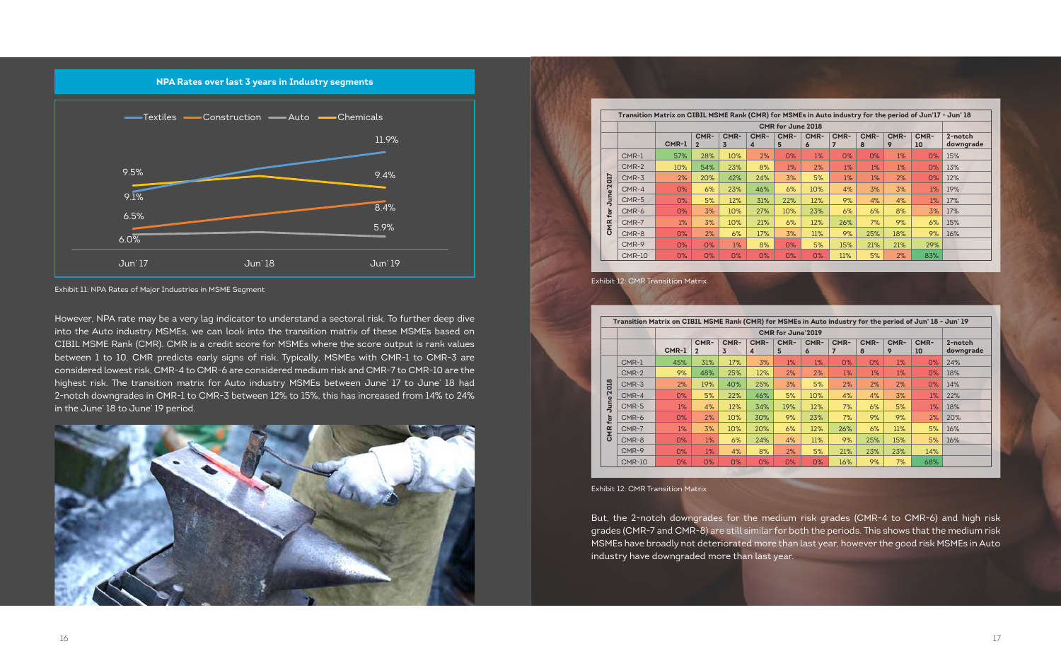Exhibit 12: CMR Transition Matrix

Exhibit 11: NPA Rates of Major Industries in MSME Segment

But, the 2-notch downgrades for the medium risk grades (CMR-4 to CMR-6) and high risk grades (CMR-7 and CMR-8) are still similar for both the periods. This shows that the medium risk MSMEs have broadly not deteriorated more than last year, however the good risk MSMEs in Auto industry have downgraded more than last year.



|            |               |         | CMR for June 2018      |           |           |           |           |           |           |           |            |                      |  |
|------------|---------------|---------|------------------------|-----------|-----------|-----------|-----------|-----------|-----------|-----------|------------|----------------------|--|
|            |               | $CMR-1$ | CMR-<br>$\overline{2}$ | CMR-<br>3 | CMR-<br>4 | CMR-<br>5 | CMR-<br>6 | CMR-<br>7 | CMR-<br>8 | CMR-<br>9 | CMR-<br>10 | 2-notch<br>downgrade |  |
|            | CMR-1         | 57%     | 28%                    | 10%       | 2%        | O%        | $1\%$     | O%        | 0%        | 1%        | O%         | 15%                  |  |
|            | $CMR-2$       | 10%     | 54%                    | 23%       | 8%        | 1%        | 2%        | 1%        | $1\%$     | 1%        | 0%         | 13%                  |  |
| <b>CTO</b> | $CMR-3$       | 2%      | 20%                    | 42%       | 24%       | 3%        | 5%        | 1%        | $1\%$     | 2%        | O%         | 12%                  |  |
| <b>آ</b>   | $CMR-4$       | 0%      | 6%                     | 23%       | 46%       | 6%        | 10%       | 4%        | 3%        | 3%        | $1\%$      | 19%                  |  |
| June'      | CMR-5         | O%      | 5%                     | 12%       | 31%       | 22%       | 12%       | 9%        | 4%        | 4%        | $1\%$      | 17%                  |  |
| for        | CMR-6         | O%      | 3%                     | 10%       | 27%       | 10%       | 23%       | 6%        | 6%        | 8%        | 3%         | 17%                  |  |
| CMR        | $CMR-7$       | 1%      | 3%                     | 10%       | 21%       | 6%        | 12%       | 26%       | 7%        | 9%        | 6%         | 15%                  |  |
|            | CMR-8         | O%      | 2%                     | 6%        | 17%       | 3%        | 11%       | 9%        | 25%       | 18%       | 9%         | 16%                  |  |
|            | CMR-9         | O%      | O%                     | $1\%$     | 8%        | O%        | 5%        | 15%       | 21%       | 21%       | 29%        |                      |  |
|            | <b>CMR-10</b> | 0%      | 0%                     | 0%        | 0%        | O%        | O%        | 11%       | 5%        | 2%        | 83%        |                      |  |

Exhibit 12: CMR Transition Matrix

|            | Transition Matrix on CIBIL MSME Rank (CMR) for MSMEs in Auto industry for the period of Jun' 18 - Jun' 19 |       |                          |           |           |           |           |           |           |           |            |                      |  |  |  |
|------------|-----------------------------------------------------------------------------------------------------------|-------|--------------------------|-----------|-----------|-----------|-----------|-----------|-----------|-----------|------------|----------------------|--|--|--|
|            |                                                                                                           |       | <b>CMR for June'2019</b> |           |           |           |           |           |           |           |            |                      |  |  |  |
|            |                                                                                                           | CMR-1 | CMR-<br>$\overline{2}$   | CMR-<br>3 | CMR-<br>4 | CMR-<br>5 | CMR-<br>6 | CMR-<br>7 | CMR-<br>8 | CMR-<br>9 | CMR-<br>10 | 2-notch<br>downgrade |  |  |  |
|            | CMR-1                                                                                                     | 45%   | 31%                      | 17%       | 3%        | $1\%$     | $1\%$     | 0%        | 0%        | $1\%$     | 0%         | 24%                  |  |  |  |
|            | $CMR-2$                                                                                                   | 9%    | 48%                      | 25%       | 12%       | 2%        | 2%        | 1%        | 1%        | $1\%$     | 0%         | 18%                  |  |  |  |
|            | CMR-3                                                                                                     | 2%    | 19%                      | 40%       | 25%       | 3%        | 5%        | 2%        | 2%        | 2%        | 0%         | 14%                  |  |  |  |
| June'2018  | CMR-4                                                                                                     | O%    | 5%                       | 22%       | 46%       | 5%        | 10%       | 4%        | 4%        | 3%        | $1\%$      | 22%                  |  |  |  |
|            | CMR-5                                                                                                     | $1\%$ | 4%                       | 12%       | 34%       | 19%       | 12%       | 7%        | 6%        | 5%        | 1%         | 18%                  |  |  |  |
| for        | CMR-6                                                                                                     | $0\%$ | 2%                       | 10%       | 30%       | 9%        | 23%       | 7%        | 9%        | 9%        | 2%         | 20%                  |  |  |  |
| <b>CMR</b> | CMR-7                                                                                                     | 1%    | 3%                       | 10%       | 20%       | 6%        | 12%       | 26%       | 6%        | 11%       | 5%         | 16%                  |  |  |  |
|            | CMR-8                                                                                                     | 0%    | $1\%$                    | 6%        | 24%       | 4%        | 11%       | 9%        | 25%       | 15%       | 5%         | 16%                  |  |  |  |
|            | CMR-9                                                                                                     | 0%    | 1%                       | 4%        | 8%        | 2%        | 5%        | 21%       | 23%       | 23%       | 14%        |                      |  |  |  |
|            | <b>CMR-10</b>                                                                                             | $0\%$ | 0%                       | 0%        | 0%        | $0\%$     | 0%        | 16%       | 9%        | 7%        | 68%        |                      |  |  |  |

However, NPA rate may be a very lag indicator to understand a sectoral risk. To further deep dive into the Auto industry MSMEs, we can look into the transition matrix of these MSMEs based on CIBIL MSME Rank (CMR). CMR is a credit score for MSMEs where the score output is rank values between 1 to 10. CMR predicts early signs of risk. Typically, MSMEs with CMR-1 to CMR-3 are considered lowest risk, CMR-4 to CMR-6 are considered medium risk and CMR-7 to CMR-10 are the highest risk. The transition matrix for Auto industry MSMEs between June' 17 to June' 18 had 2-notch downgrades in CMR-1 to CMR-3 between 12% to 15%, this has increased from 14% to 24% in the June' 18 to June' 19 period.

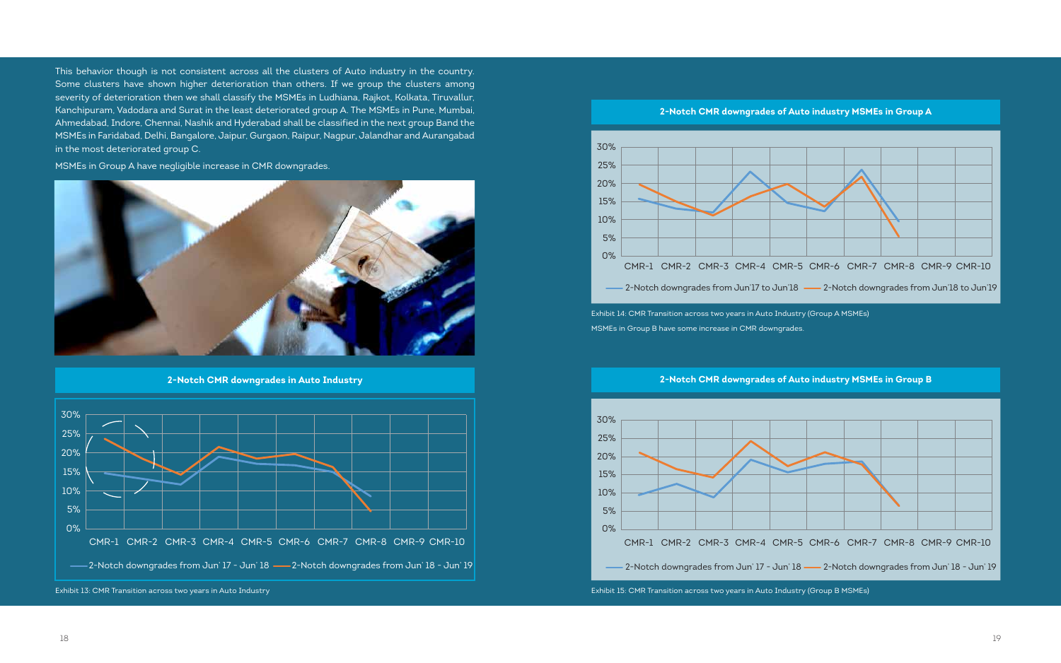Exhibit 14: CMR Transition across two years in Auto Industry (Group A MSMEs) MSMEs in Group B have some increase in CMR downgrades.



**2-Notch CMR downgrades in Auto Industry** 30% 25% 20% 15% 10% 5% 0% CMR-1 CMR-2 CMR-3 CMR-4 CMR-5 CMR-6 CMR-7 CMR-8 CMR-9 CMR-10 <sup>2</sup>-Notch downgrades from Jun' 17 - Jun' 18 - 2-Notch downgrades from Jun' 18 - Jun' 19

Exhibit 13: CMR Transition across two years in Auto Industry





Exhibit 15: CMR Transition across two years in Auto Industry (Group B MSMEs)



This behavior though is not consistent across all the clusters of Auto industry in the country. Some clusters have shown higher deterioration than others. If we group the clusters among severity of deterioration then we shall classify the MSMEs in Ludhiana, Rajkot, Kolkata, Tiruvallur, Kanchipuram, Vadodara and Surat in the least deteriorated group A. The MSMEs in Pune, Mumbai, Ahmedabad, Indore, Chennai, Nashik and Hyderabad shall be classified in the next group Band the MSMEs in Faridabad, Delhi, Bangalore, Jaipur, Gurgaon, Raipur, Nagpur, Jalandhar and Aurangabad in the most deteriorated group C.

MSMEs in Group A have negligible increase in CMR downgrades.